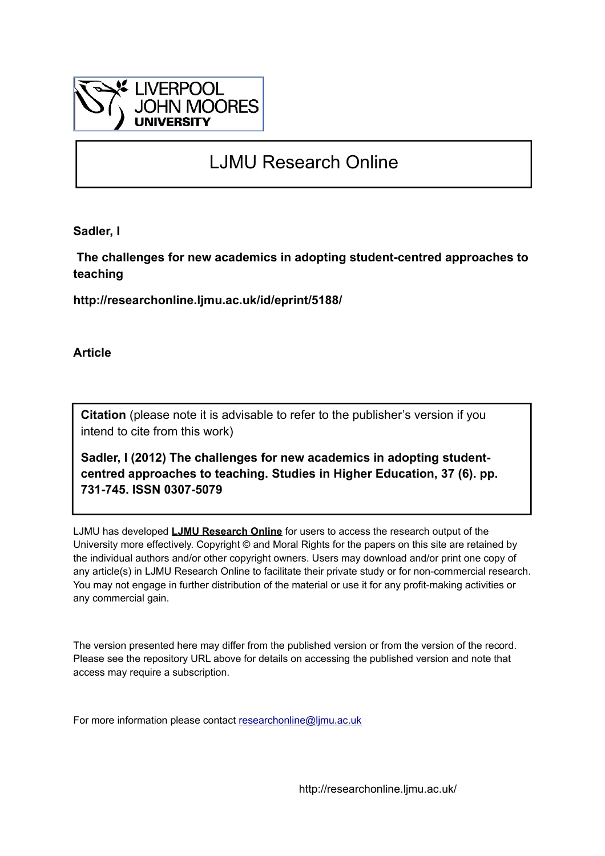

# LJMU Research Online

**Sadler, I**

 **The challenges for new academics in adopting student-centred approaches to teaching**

**http://researchonline.ljmu.ac.uk/id/eprint/5188/**

**Article**

**Citation** (please note it is advisable to refer to the publisher's version if you intend to cite from this work)

**Sadler, I (2012) The challenges for new academics in adopting studentcentred approaches to teaching. Studies in Higher Education, 37 (6). pp. 731-745. ISSN 0307-5079** 

LJMU has developed **[LJMU Research Online](http://researchonline.ljmu.ac.uk/)** for users to access the research output of the University more effectively. Copyright © and Moral Rights for the papers on this site are retained by the individual authors and/or other copyright owners. Users may download and/or print one copy of any article(s) in LJMU Research Online to facilitate their private study or for non-commercial research. You may not engage in further distribution of the material or use it for any profit-making activities or any commercial gain.

The version presented here may differ from the published version or from the version of the record. Please see the repository URL above for details on accessing the published version and note that access may require a subscription.

For more information please contact [researchonline@ljmu.ac.uk](mailto:researchonline@ljmu.ac.uk)

http://researchonline.ljmu.ac.uk/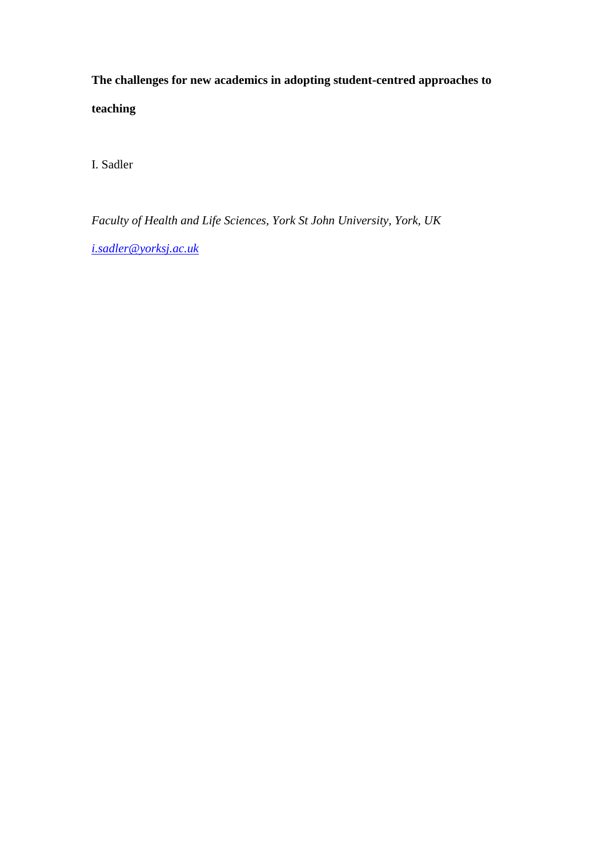**The challenges for new academics in adopting student-centred approaches to teaching**

I. Sadler

*Faculty of Health and Life Sciences, York St John University, York, UK*

*[i.sadler@yorksj.ac.uk](mailto:i.sadler@yorksj.ac.uk)*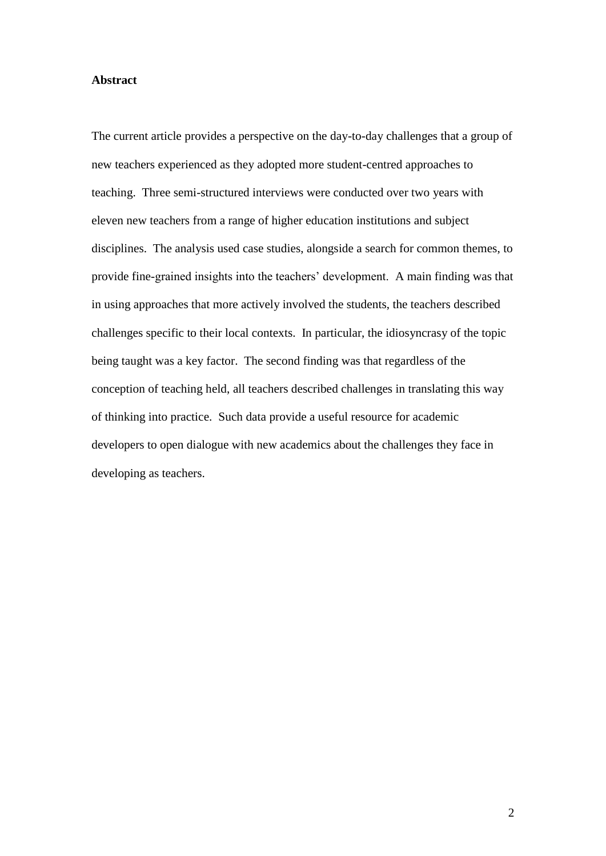# **Abstract**

The current article provides a perspective on the day-to-day challenges that a group of new teachers experienced as they adopted more student-centred approaches to teaching. Three semi-structured interviews were conducted over two years with eleven new teachers from a range of higher education institutions and subject disciplines. The analysis used case studies, alongside a search for common themes, to provide fine-grained insights into the teachers' development. A main finding was that in using approaches that more actively involved the students, the teachers described challenges specific to their local contexts. In particular, the idiosyncrasy of the topic being taught was a key factor. The second finding was that regardless of the conception of teaching held, all teachers described challenges in translating this way of thinking into practice. Such data provide a useful resource for academic developers to open dialogue with new academics about the challenges they face in developing as teachers.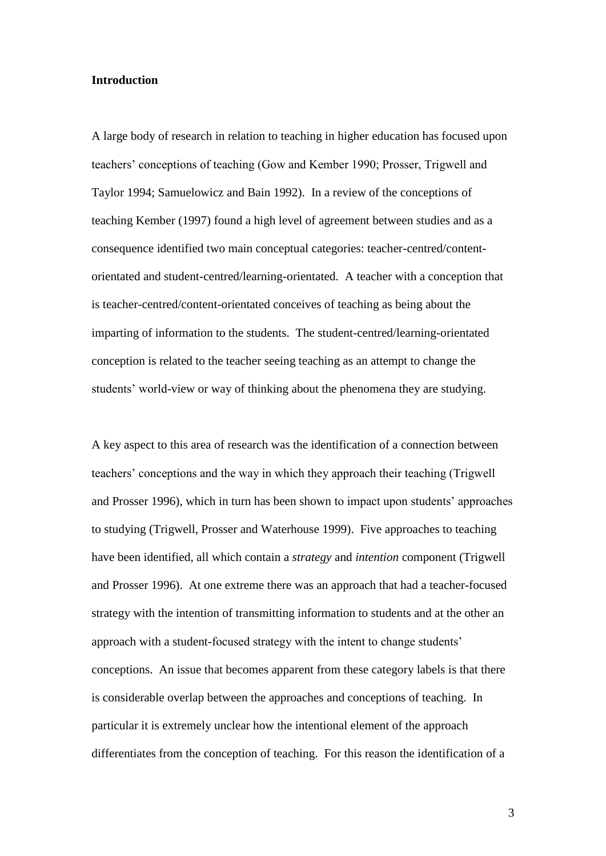## **Introduction**

A large body of research in relation to teaching in higher education has focused upon teachers' conceptions of teaching (Gow and Kember 1990; Prosser, Trigwell and Taylor 1994; Samuelowicz and Bain 1992). In a review of the conceptions of teaching Kember (1997) found a high level of agreement between studies and as a consequence identified two main conceptual categories: teacher-centred/contentorientated and student-centred/learning-orientated. A teacher with a conception that is teacher-centred/content-orientated conceives of teaching as being about the imparting of information to the students. The student-centred/learning-orientated conception is related to the teacher seeing teaching as an attempt to change the students' world-view or way of thinking about the phenomena they are studying.

A key aspect to this area of research was the identification of a connection between teachers' conceptions and the way in which they approach their teaching (Trigwell and Prosser 1996), which in turn has been shown to impact upon students' approaches to studying (Trigwell, Prosser and Waterhouse 1999). Five approaches to teaching have been identified, all which contain a *strategy* and *intention* component (Trigwell and Prosser 1996). At one extreme there was an approach that had a teacher-focused strategy with the intention of transmitting information to students and at the other an approach with a student-focused strategy with the intent to change students' conceptions. An issue that becomes apparent from these category labels is that there is considerable overlap between the approaches and conceptions of teaching. In particular it is extremely unclear how the intentional element of the approach differentiates from the conception of teaching. For this reason the identification of a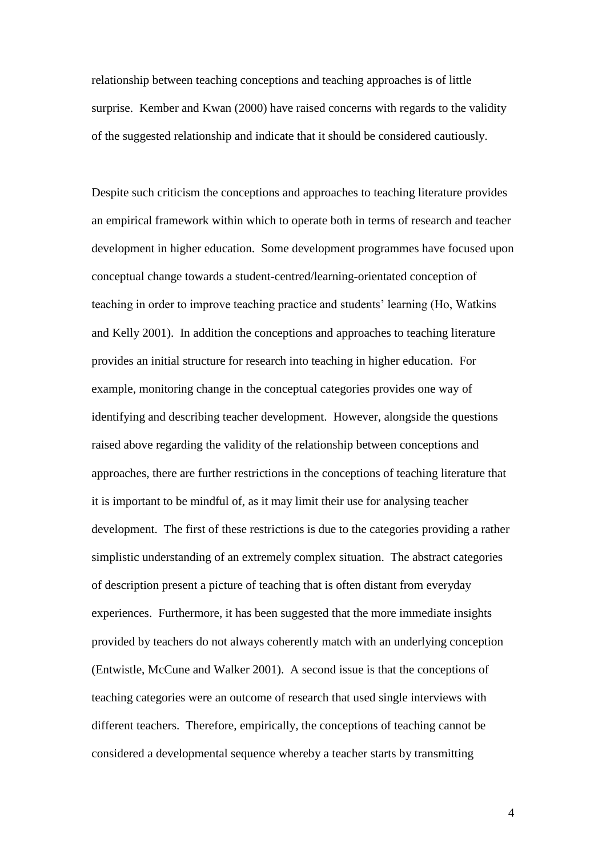relationship between teaching conceptions and teaching approaches is of little surprise. Kember and Kwan (2000) have raised concerns with regards to the validity of the suggested relationship and indicate that it should be considered cautiously.

Despite such criticism the conceptions and approaches to teaching literature provides an empirical framework within which to operate both in terms of research and teacher development in higher education. Some development programmes have focused upon conceptual change towards a student-centred/learning-orientated conception of teaching in order to improve teaching practice and students' learning (Ho, Watkins and Kelly 2001). In addition the conceptions and approaches to teaching literature provides an initial structure for research into teaching in higher education. For example, monitoring change in the conceptual categories provides one way of identifying and describing teacher development. However, alongside the questions raised above regarding the validity of the relationship between conceptions and approaches, there are further restrictions in the conceptions of teaching literature that it is important to be mindful of, as it may limit their use for analysing teacher development. The first of these restrictions is due to the categories providing a rather simplistic understanding of an extremely complex situation. The abstract categories of description present a picture of teaching that is often distant from everyday experiences. Furthermore, it has been suggested that the more immediate insights provided by teachers do not always coherently match with an underlying conception (Entwistle, McCune and Walker 2001). A second issue is that the conceptions of teaching categories were an outcome of research that used single interviews with different teachers. Therefore, empirically, the conceptions of teaching cannot be considered a developmental sequence whereby a teacher starts by transmitting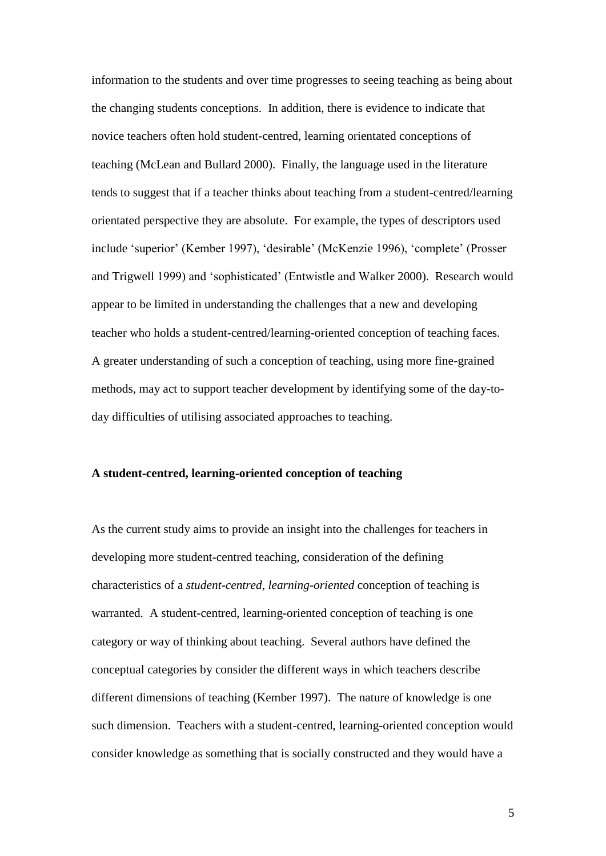information to the students and over time progresses to seeing teaching as being about the changing students conceptions. In addition, there is evidence to indicate that novice teachers often hold student-centred, learning orientated conceptions of teaching (McLean and Bullard 2000). Finally, the language used in the literature tends to suggest that if a teacher thinks about teaching from a student-centred/learning orientated perspective they are absolute. For example, the types of descriptors used include 'superior' (Kember 1997), 'desirable' (McKenzie 1996), 'complete' (Prosser and Trigwell 1999) and 'sophisticated' (Entwistle and Walker 2000). Research would appear to be limited in understanding the challenges that a new and developing teacher who holds a student-centred/learning-oriented conception of teaching faces. A greater understanding of such a conception of teaching, using more fine-grained methods, may act to support teacher development by identifying some of the day-today difficulties of utilising associated approaches to teaching.

## **A student-centred, learning-oriented conception of teaching**

As the current study aims to provide an insight into the challenges for teachers in developing more student-centred teaching, consideration of the defining characteristics of a *student-centred*, *learning-oriented* conception of teaching is warranted. A student-centred, learning-oriented conception of teaching is one category or way of thinking about teaching. Several authors have defined the conceptual categories by consider the different ways in which teachers describe different dimensions of teaching (Kember 1997). The nature of knowledge is one such dimension. Teachers with a student-centred, learning-oriented conception would consider knowledge as something that is socially constructed and they would have a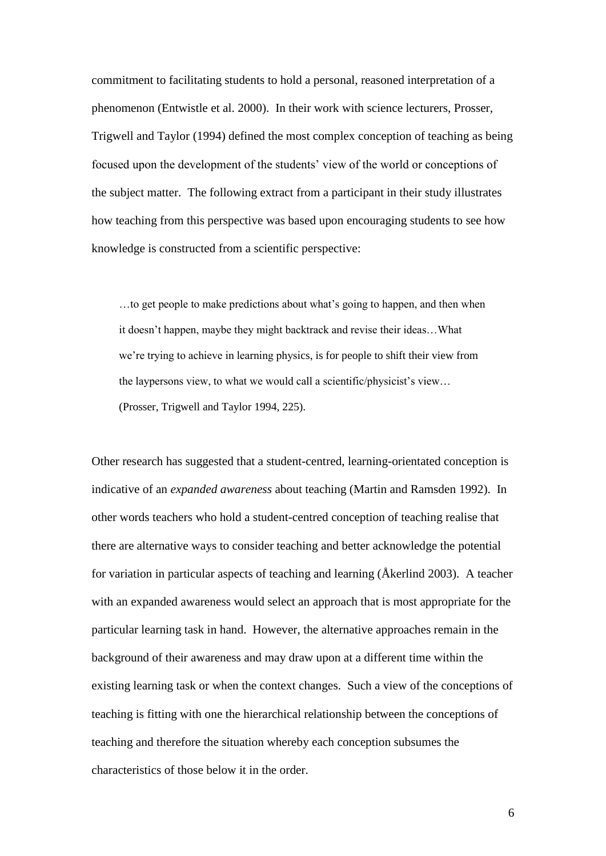commitment to facilitating students to hold a personal, reasoned interpretation of a phenomenon (Entwistle et al. 2000). In their work with science lecturers, Prosser, Trigwell and Taylor (1994) defined the most complex conception of teaching as being focused upon the development of the students' view of the world or conceptions of the subject matter. The following extract from a participant in their study illustrates how teaching from this perspective was based upon encouraging students to see how knowledge is constructed from a scientific perspective:

…to get people to make predictions about what's going to happen, and then when it doesn't happen, maybe they might backtrack and revise their ideas…What we're trying to achieve in learning physics, is for people to shift their view from the laypersons view, to what we would call a scientific/physicist's view… (Prosser, Trigwell and Taylor 1994, 225).

Other research has suggested that a student-centred, learning-orientated conception is indicative of an *expanded awareness* about teaching (Martin and Ramsden 1992). In other words teachers who hold a student-centred conception of teaching realise that there are alternative ways to consider teaching and better acknowledge the potential for variation in particular aspects of teaching and learning (Åkerlind 2003). A teacher with an expanded awareness would select an approach that is most appropriate for the particular learning task in hand. However, the alternative approaches remain in the background of their awareness and may draw upon at a different time within the existing learning task or when the context changes. Such a view of the conceptions of teaching is fitting with one the hierarchical relationship between the conceptions of teaching and therefore the situation whereby each conception subsumes the characteristics of those below it in the order.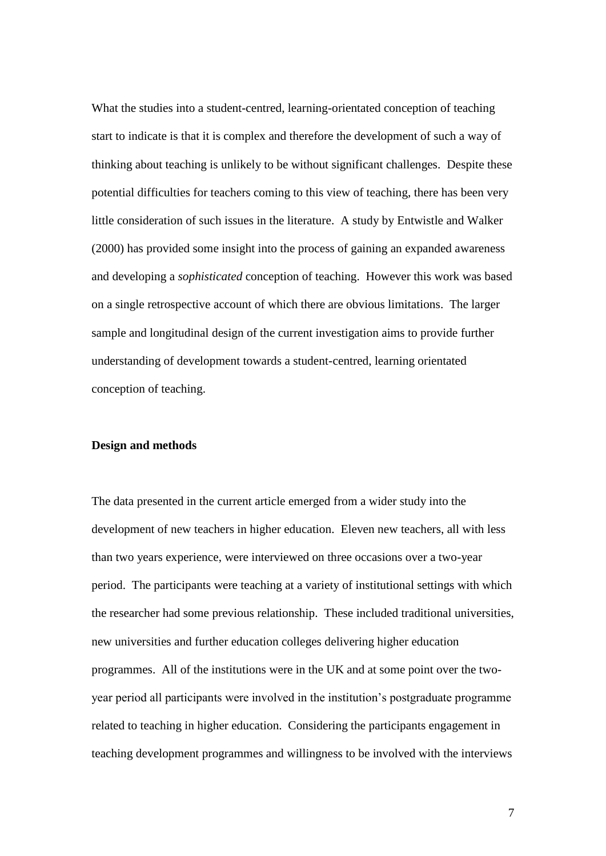What the studies into a student-centred, learning-orientated conception of teaching start to indicate is that it is complex and therefore the development of such a way of thinking about teaching is unlikely to be without significant challenges. Despite these potential difficulties for teachers coming to this view of teaching, there has been very little consideration of such issues in the literature. A study by Entwistle and Walker (2000) has provided some insight into the process of gaining an expanded awareness and developing a *sophisticated* conception of teaching. However this work was based on a single retrospective account of which there are obvious limitations. The larger sample and longitudinal design of the current investigation aims to provide further understanding of development towards a student-centred, learning orientated conception of teaching.

## **Design and methods**

The data presented in the current article emerged from a wider study into the development of new teachers in higher education. Eleven new teachers, all with less than two years experience, were interviewed on three occasions over a two-year period. The participants were teaching at a variety of institutional settings with which the researcher had some previous relationship. These included traditional universities, new universities and further education colleges delivering higher education programmes. All of the institutions were in the UK and at some point over the twoyear period all participants were involved in the institution's postgraduate programme related to teaching in higher education. Considering the participants engagement in teaching development programmes and willingness to be involved with the interviews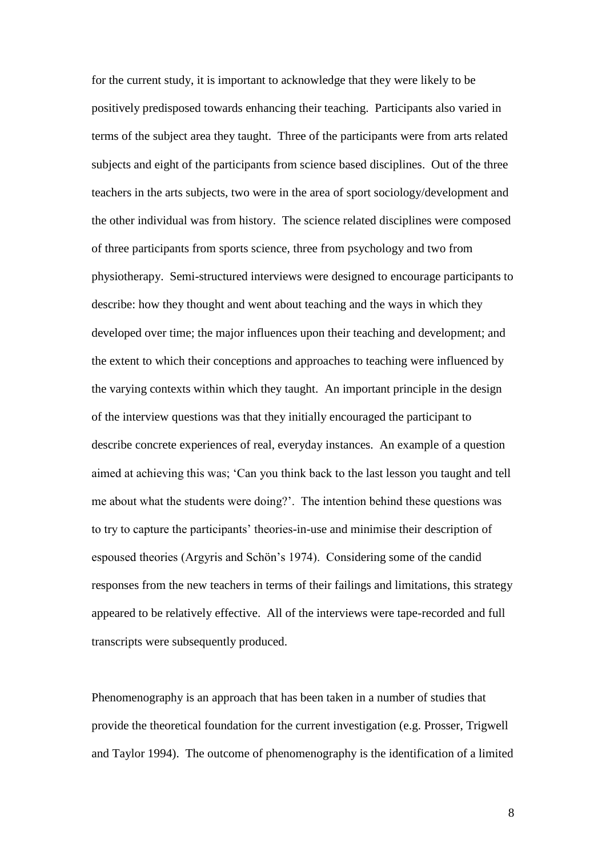for the current study, it is important to acknowledge that they were likely to be positively predisposed towards enhancing their teaching. Participants also varied in terms of the subject area they taught. Three of the participants were from arts related subjects and eight of the participants from science based disciplines. Out of the three teachers in the arts subjects, two were in the area of sport sociology/development and the other individual was from history. The science related disciplines were composed of three participants from sports science, three from psychology and two from physiotherapy. Semi-structured interviews were designed to encourage participants to describe: how they thought and went about teaching and the ways in which they developed over time; the major influences upon their teaching and development; and the extent to which their conceptions and approaches to teaching were influenced by the varying contexts within which they taught. An important principle in the design of the interview questions was that they initially encouraged the participant to describe concrete experiences of real, everyday instances. An example of a question aimed at achieving this was; 'Can you think back to the last lesson you taught and tell me about what the students were doing?'. The intention behind these questions was to try to capture the participants' theories-in-use and minimise their description of espoused theories (Argyris and Schön's 1974). Considering some of the candid responses from the new teachers in terms of their failings and limitations, this strategy appeared to be relatively effective. All of the interviews were tape-recorded and full transcripts were subsequently produced.

Phenomenography is an approach that has been taken in a number of studies that provide the theoretical foundation for the current investigation (e.g. Prosser, Trigwell and Taylor 1994). The outcome of phenomenography is the identification of a limited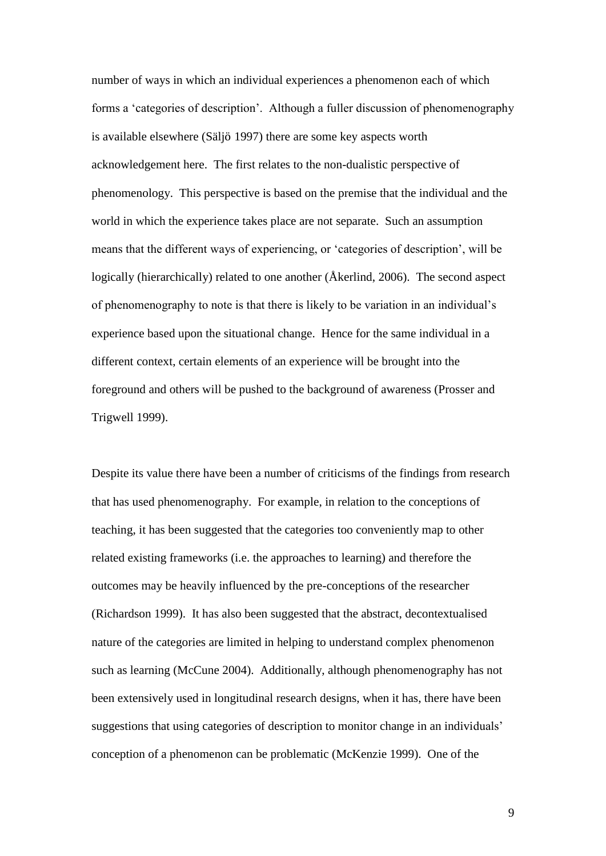number of ways in which an individual experiences a phenomenon each of which forms a 'categories of description'. Although a fuller discussion of phenomenography is available elsewhere (Säljö 1997) there are some key aspects worth acknowledgement here. The first relates to the non-dualistic perspective of phenomenology. This perspective is based on the premise that the individual and the world in which the experience takes place are not separate. Such an assumption means that the different ways of experiencing, or 'categories of description', will be logically (hierarchically) related to one another (Åkerlind, 2006). The second aspect of phenomenography to note is that there is likely to be variation in an individual's experience based upon the situational change. Hence for the same individual in a different context, certain elements of an experience will be brought into the foreground and others will be pushed to the background of awareness (Prosser and Trigwell 1999).

Despite its value there have been a number of criticisms of the findings from research that has used phenomenography. For example, in relation to the conceptions of teaching, it has been suggested that the categories too conveniently map to other related existing frameworks (i.e. the approaches to learning) and therefore the outcomes may be heavily influenced by the pre-conceptions of the researcher (Richardson 1999). It has also been suggested that the abstract, decontextualised nature of the categories are limited in helping to understand complex phenomenon such as learning (McCune 2004). Additionally, although phenomenography has not been extensively used in longitudinal research designs, when it has, there have been suggestions that using categories of description to monitor change in an individuals' conception of a phenomenon can be problematic (McKenzie 1999). One of the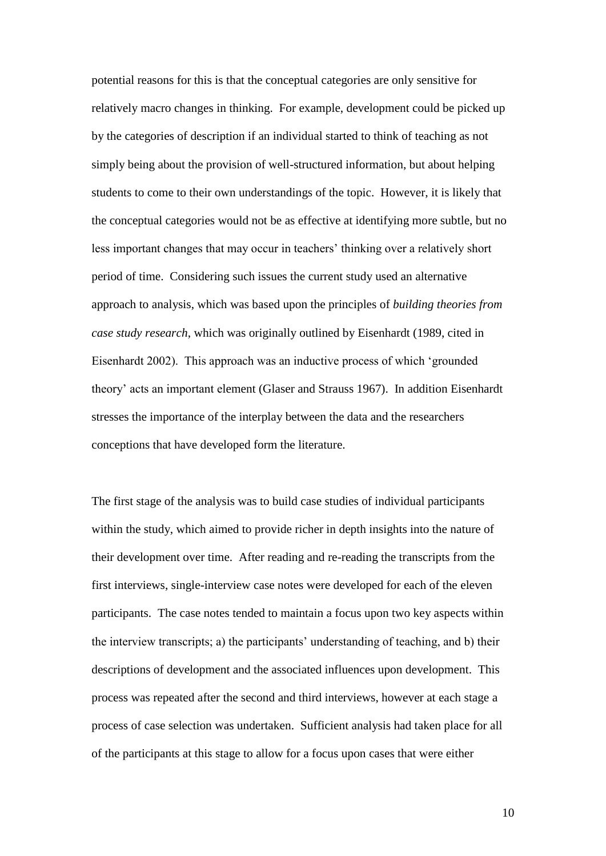potential reasons for this is that the conceptual categories are only sensitive for relatively macro changes in thinking. For example, development could be picked up by the categories of description if an individual started to think of teaching as not simply being about the provision of well-structured information, but about helping students to come to their own understandings of the topic. However, it is likely that the conceptual categories would not be as effective at identifying more subtle, but no less important changes that may occur in teachers' thinking over a relatively short period of time. Considering such issues the current study used an alternative approach to analysis, which was based upon the principles of *building theories from case study research*, which was originally outlined by Eisenhardt (1989, cited in Eisenhardt 2002). This approach was an inductive process of which 'grounded theory' acts an important element (Glaser and Strauss 1967). In addition Eisenhardt stresses the importance of the interplay between the data and the researchers conceptions that have developed form the literature.

The first stage of the analysis was to build case studies of individual participants within the study, which aimed to provide richer in depth insights into the nature of their development over time. After reading and re-reading the transcripts from the first interviews, single-interview case notes were developed for each of the eleven participants. The case notes tended to maintain a focus upon two key aspects within the interview transcripts; a) the participants' understanding of teaching, and b) their descriptions of development and the associated influences upon development. This process was repeated after the second and third interviews, however at each stage a process of case selection was undertaken. Sufficient analysis had taken place for all of the participants at this stage to allow for a focus upon cases that were either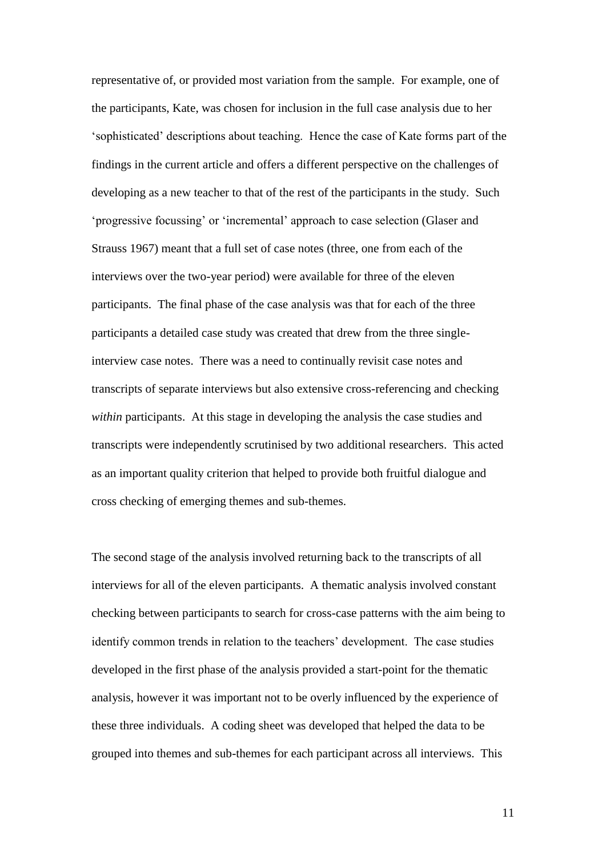representative of, or provided most variation from the sample. For example, one of the participants, Kate, was chosen for inclusion in the full case analysis due to her 'sophisticated' descriptions about teaching. Hence the case of Kate forms part of the findings in the current article and offers a different perspective on the challenges of developing as a new teacher to that of the rest of the participants in the study. Such 'progressive focussing' or 'incremental' approach to case selection (Glaser and Strauss 1967) meant that a full set of case notes (three, one from each of the interviews over the two-year period) were available for three of the eleven participants. The final phase of the case analysis was that for each of the three participants a detailed case study was created that drew from the three singleinterview case notes. There was a need to continually revisit case notes and transcripts of separate interviews but also extensive cross-referencing and checking *within* participants. At this stage in developing the analysis the case studies and transcripts were independently scrutinised by two additional researchers. This acted as an important quality criterion that helped to provide both fruitful dialogue and cross checking of emerging themes and sub-themes.

The second stage of the analysis involved returning back to the transcripts of all interviews for all of the eleven participants. A thematic analysis involved constant checking between participants to search for cross-case patterns with the aim being to identify common trends in relation to the teachers' development. The case studies developed in the first phase of the analysis provided a start-point for the thematic analysis, however it was important not to be overly influenced by the experience of these three individuals. A coding sheet was developed that helped the data to be grouped into themes and sub-themes for each participant across all interviews. This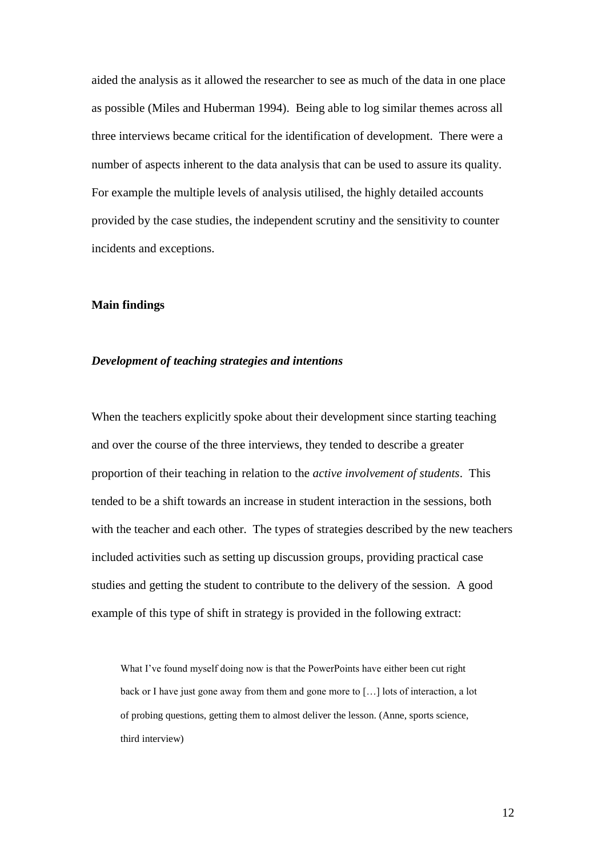aided the analysis as it allowed the researcher to see as much of the data in one place as possible (Miles and Huberman 1994). Being able to log similar themes across all three interviews became critical for the identification of development. There were a number of aspects inherent to the data analysis that can be used to assure its quality. For example the multiple levels of analysis utilised, the highly detailed accounts provided by the case studies, the independent scrutiny and the sensitivity to counter incidents and exceptions.

## **Main findings**

# *Development of teaching strategies and intentions*

When the teachers explicitly spoke about their development since starting teaching and over the course of the three interviews, they tended to describe a greater proportion of their teaching in relation to the *active involvement of students*. This tended to be a shift towards an increase in student interaction in the sessions, both with the teacher and each other. The types of strategies described by the new teachers included activities such as setting up discussion groups, providing practical case studies and getting the student to contribute to the delivery of the session. A good example of this type of shift in strategy is provided in the following extract:

What I've found myself doing now is that the PowerPoints have either been cut right back or I have just gone away from them and gone more to [...] lots of interaction, a lot of probing questions, getting them to almost deliver the lesson. (Anne, sports science, third interview)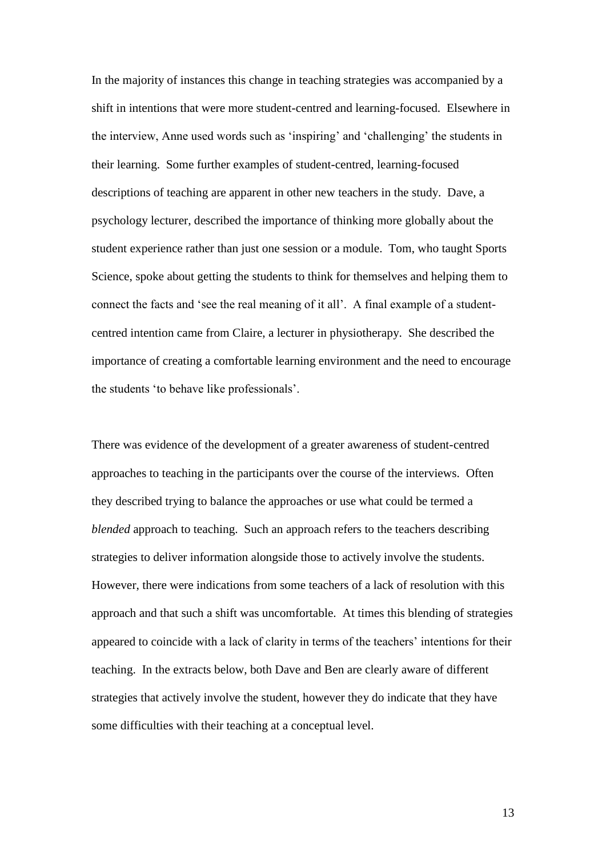In the majority of instances this change in teaching strategies was accompanied by a shift in intentions that were more student-centred and learning-focused. Elsewhere in the interview, Anne used words such as 'inspiring' and 'challenging' the students in their learning. Some further examples of student-centred, learning-focused descriptions of teaching are apparent in other new teachers in the study. Dave, a psychology lecturer, described the importance of thinking more globally about the student experience rather than just one session or a module. Tom, who taught Sports Science, spoke about getting the students to think for themselves and helping them to connect the facts and 'see the real meaning of it all'. A final example of a studentcentred intention came from Claire, a lecturer in physiotherapy. She described the importance of creating a comfortable learning environment and the need to encourage the students 'to behave like professionals'.

There was evidence of the development of a greater awareness of student-centred approaches to teaching in the participants over the course of the interviews. Often they described trying to balance the approaches or use what could be termed a *blended* approach to teaching. Such an approach refers to the teachers describing strategies to deliver information alongside those to actively involve the students. However, there were indications from some teachers of a lack of resolution with this approach and that such a shift was uncomfortable. At times this blending of strategies appeared to coincide with a lack of clarity in terms of the teachers' intentions for their teaching. In the extracts below, both Dave and Ben are clearly aware of different strategies that actively involve the student, however they do indicate that they have some difficulties with their teaching at a conceptual level.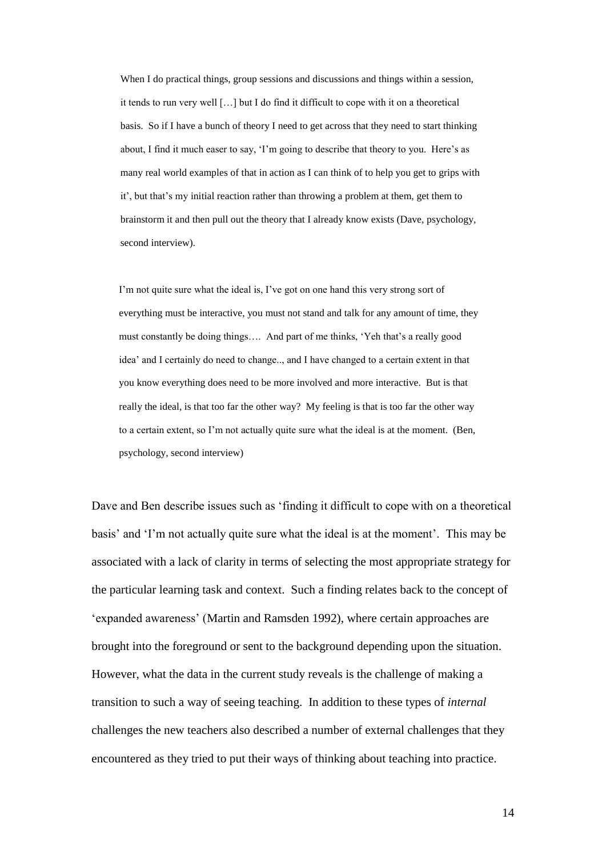When I do practical things, group sessions and discussions and things within a session, it tends to run very well […] but I do find it difficult to cope with it on a theoretical basis. So if I have a bunch of theory I need to get across that they need to start thinking about, I find it much easer to say, 'I'm going to describe that theory to you. Here's as many real world examples of that in action as I can think of to help you get to grips with it', but that's my initial reaction rather than throwing a problem at them, get them to brainstorm it and then pull out the theory that I already know exists (Dave, psychology, second interview).

I'm not quite sure what the ideal is, I've got on one hand this very strong sort of everything must be interactive, you must not stand and talk for any amount of time, they must constantly be doing things…. And part of me thinks, 'Yeh that's a really good idea' and I certainly do need to change.., and I have changed to a certain extent in that you know everything does need to be more involved and more interactive. But is that really the ideal, is that too far the other way? My feeling is that is too far the other way to a certain extent, so I'm not actually quite sure what the ideal is at the moment. (Ben, psychology, second interview)

Dave and Ben describe issues such as 'finding it difficult to cope with on a theoretical basis' and 'I'm not actually quite sure what the ideal is at the moment'. This may be associated with a lack of clarity in terms of selecting the most appropriate strategy for the particular learning task and context. Such a finding relates back to the concept of 'expanded awareness' (Martin and Ramsden 1992), where certain approaches are brought into the foreground or sent to the background depending upon the situation. However, what the data in the current study reveals is the challenge of making a transition to such a way of seeing teaching. In addition to these types of *internal* challenges the new teachers also described a number of external challenges that they encountered as they tried to put their ways of thinking about teaching into practice.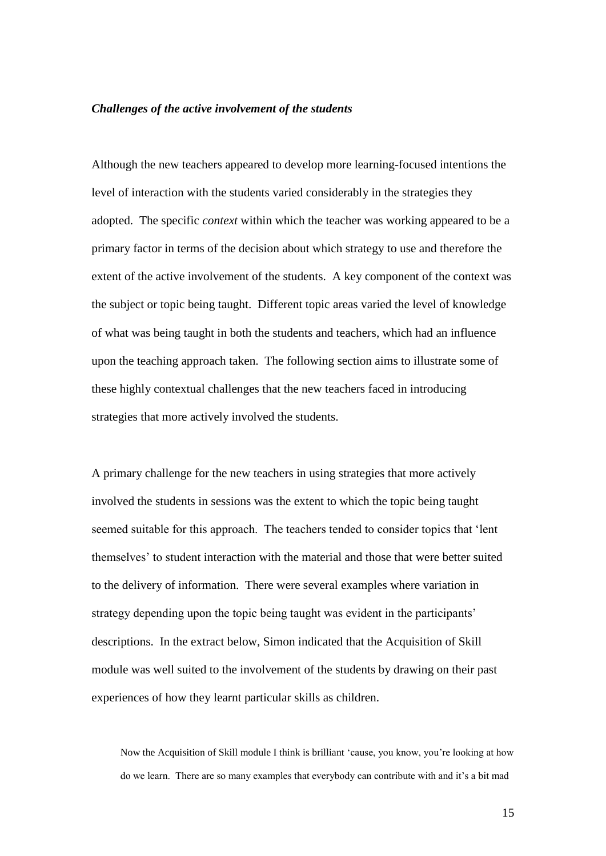#### *Challenges of the active involvement of the students*

Although the new teachers appeared to develop more learning-focused intentions the level of interaction with the students varied considerably in the strategies they adopted. The specific *context* within which the teacher was working appeared to be a primary factor in terms of the decision about which strategy to use and therefore the extent of the active involvement of the students. A key component of the context was the subject or topic being taught. Different topic areas varied the level of knowledge of what was being taught in both the students and teachers, which had an influence upon the teaching approach taken. The following section aims to illustrate some of these highly contextual challenges that the new teachers faced in introducing strategies that more actively involved the students.

A primary challenge for the new teachers in using strategies that more actively involved the students in sessions was the extent to which the topic being taught seemed suitable for this approach. The teachers tended to consider topics that 'lent themselves' to student interaction with the material and those that were better suited to the delivery of information. There were several examples where variation in strategy depending upon the topic being taught was evident in the participants' descriptions. In the extract below, Simon indicated that the Acquisition of Skill module was well suited to the involvement of the students by drawing on their past experiences of how they learnt particular skills as children.

Now the Acquisition of Skill module I think is brilliant 'cause, you know, you're looking at how do we learn. There are so many examples that everybody can contribute with and it's a bit mad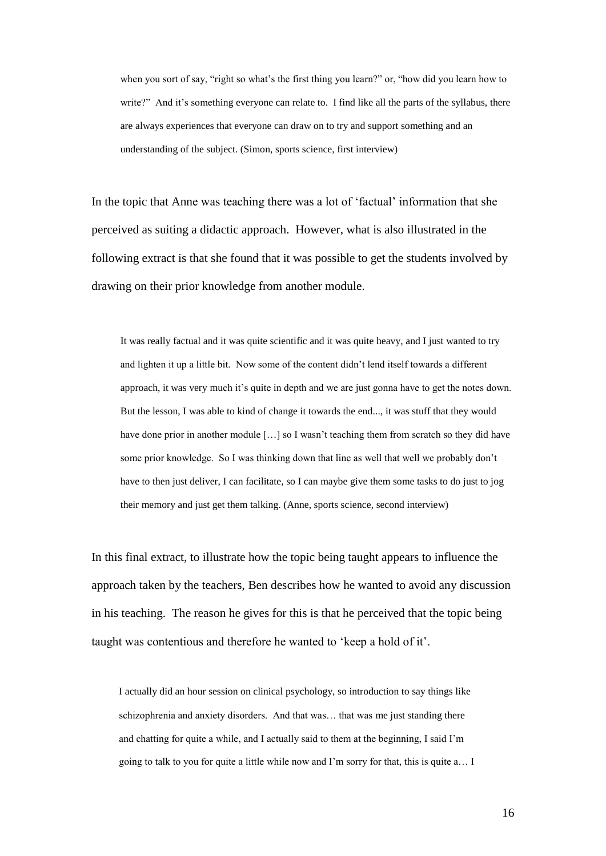when you sort of say, "right so what's the first thing you learn?" or, "how did you learn how to write?" And it's something everyone can relate to. I find like all the parts of the syllabus, there are always experiences that everyone can draw on to try and support something and an understanding of the subject. (Simon, sports science, first interview)

In the topic that Anne was teaching there was a lot of 'factual' information that she perceived as suiting a didactic approach. However, what is also illustrated in the following extract is that she found that it was possible to get the students involved by drawing on their prior knowledge from another module.

It was really factual and it was quite scientific and it was quite heavy, and I just wanted to try and lighten it up a little bit. Now some of the content didn't lend itself towards a different approach, it was very much it's quite in depth and we are just gonna have to get the notes down. But the lesson, I was able to kind of change it towards the end..., it was stuff that they would have done prior in another module [...] so I wasn't teaching them from scratch so they did have some prior knowledge. So I was thinking down that line as well that well we probably don't have to then just deliver, I can facilitate, so I can maybe give them some tasks to do just to jog their memory and just get them talking. (Anne, sports science, second interview)

In this final extract, to illustrate how the topic being taught appears to influence the approach taken by the teachers, Ben describes how he wanted to avoid any discussion in his teaching. The reason he gives for this is that he perceived that the topic being taught was contentious and therefore he wanted to 'keep a hold of it'.

I actually did an hour session on clinical psychology, so introduction to say things like schizophrenia and anxiety disorders. And that was… that was me just standing there and chatting for quite a while, and I actually said to them at the beginning, I said I'm going to talk to you for quite a little while now and I'm sorry for that, this is quite a… I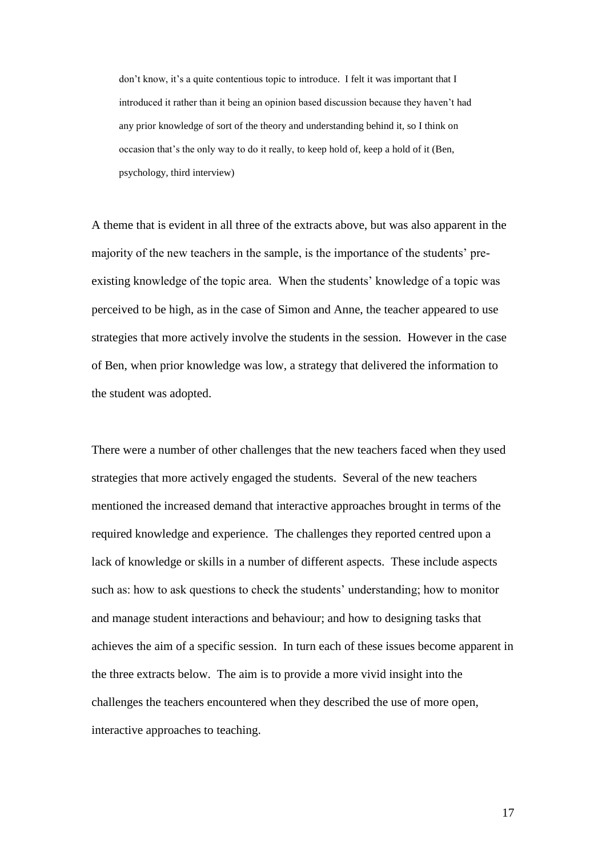don't know, it's a quite contentious topic to introduce. I felt it was important that I introduced it rather than it being an opinion based discussion because they haven't had any prior knowledge of sort of the theory and understanding behind it, so I think on occasion that's the only way to do it really, to keep hold of, keep a hold of it (Ben, psychology, third interview)

A theme that is evident in all three of the extracts above, but was also apparent in the majority of the new teachers in the sample, is the importance of the students' preexisting knowledge of the topic area. When the students' knowledge of a topic was perceived to be high, as in the case of Simon and Anne, the teacher appeared to use strategies that more actively involve the students in the session. However in the case of Ben, when prior knowledge was low, a strategy that delivered the information to the student was adopted.

There were a number of other challenges that the new teachers faced when they used strategies that more actively engaged the students. Several of the new teachers mentioned the increased demand that interactive approaches brought in terms of the required knowledge and experience. The challenges they reported centred upon a lack of knowledge or skills in a number of different aspects. These include aspects such as: how to ask questions to check the students' understanding; how to monitor and manage student interactions and behaviour; and how to designing tasks that achieves the aim of a specific session. In turn each of these issues become apparent in the three extracts below. The aim is to provide a more vivid insight into the challenges the teachers encountered when they described the use of more open, interactive approaches to teaching.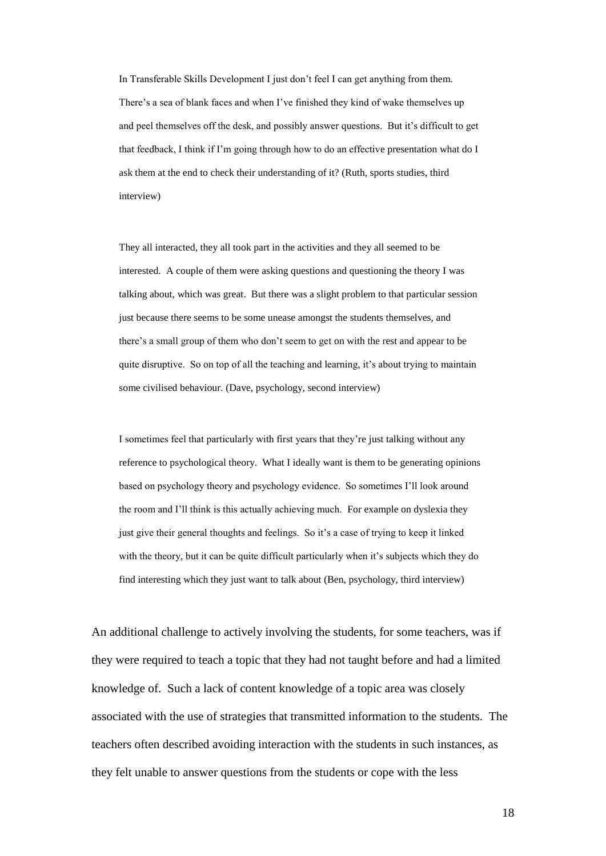In Transferable Skills Development I just don't feel I can get anything from them. There's a sea of blank faces and when I've finished they kind of wake themselves up and peel themselves off the desk, and possibly answer questions. But it's difficult to get that feedback, I think if I'm going through how to do an effective presentation what do I ask them at the end to check their understanding of it? (Ruth, sports studies, third interview)

They all interacted, they all took part in the activities and they all seemed to be interested. A couple of them were asking questions and questioning the theory I was talking about, which was great. But there was a slight problem to that particular session just because there seems to be some unease amongst the students themselves, and there's a small group of them who don't seem to get on with the rest and appear to be quite disruptive. So on top of all the teaching and learning, it's about trying to maintain some civilised behaviour. (Dave, psychology, second interview)

I sometimes feel that particularly with first years that they're just talking without any reference to psychological theory. What I ideally want is them to be generating opinions based on psychology theory and psychology evidence. So sometimes I'll look around the room and I'll think is this actually achieving much. For example on dyslexia they just give their general thoughts and feelings. So it's a case of trying to keep it linked with the theory, but it can be quite difficult particularly when it's subjects which they do find interesting which they just want to talk about (Ben, psychology, third interview)

An additional challenge to actively involving the students, for some teachers, was if they were required to teach a topic that they had not taught before and had a limited knowledge of. Such a lack of content knowledge of a topic area was closely associated with the use of strategies that transmitted information to the students. The teachers often described avoiding interaction with the students in such instances, as they felt unable to answer questions from the students or cope with the less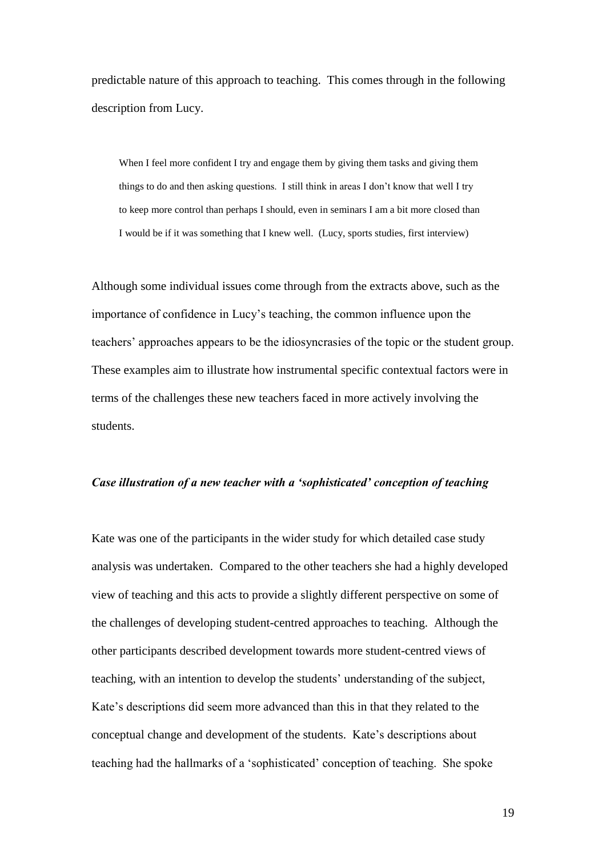predictable nature of this approach to teaching. This comes through in the following description from Lucy.

When I feel more confident I try and engage them by giving them tasks and giving them things to do and then asking questions. I still think in areas I don't know that well I try to keep more control than perhaps I should, even in seminars I am a bit more closed than I would be if it was something that I knew well. (Lucy, sports studies, first interview)

Although some individual issues come through from the extracts above, such as the importance of confidence in Lucy's teaching, the common influence upon the teachers' approaches appears to be the idiosyncrasies of the topic or the student group. These examples aim to illustrate how instrumental specific contextual factors were in terms of the challenges these new teachers faced in more actively involving the students.

#### *Case illustration of a new teacher with a 'sophisticated' conception of teaching*

Kate was one of the participants in the wider study for which detailed case study analysis was undertaken. Compared to the other teachers she had a highly developed view of teaching and this acts to provide a slightly different perspective on some of the challenges of developing student-centred approaches to teaching. Although the other participants described development towards more student-centred views of teaching, with an intention to develop the students' understanding of the subject, Kate's descriptions did seem more advanced than this in that they related to the conceptual change and development of the students. Kate's descriptions about teaching had the hallmarks of a 'sophisticated' conception of teaching. She spoke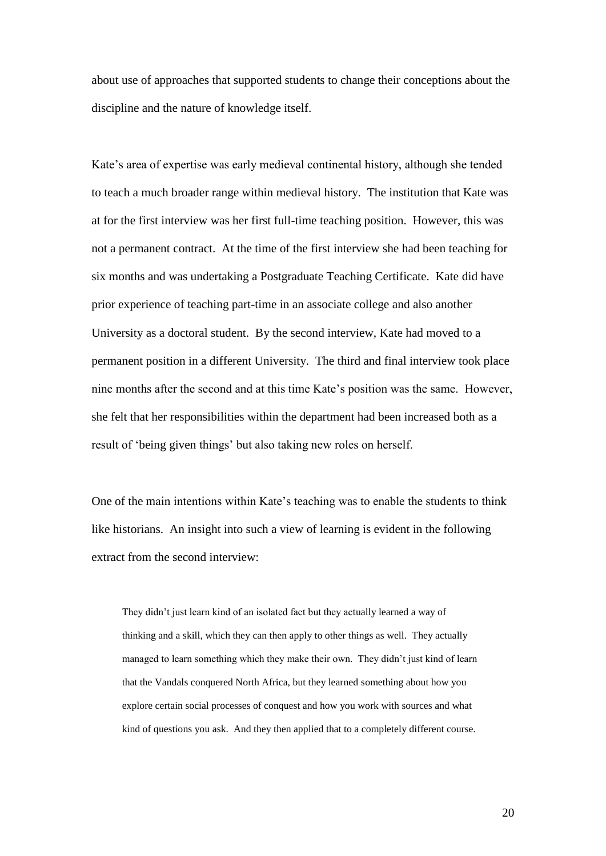about use of approaches that supported students to change their conceptions about the discipline and the nature of knowledge itself.

Kate's area of expertise was early medieval continental history, although she tended to teach a much broader range within medieval history. The institution that Kate was at for the first interview was her first full-time teaching position. However, this was not a permanent contract. At the time of the first interview she had been teaching for six months and was undertaking a Postgraduate Teaching Certificate. Kate did have prior experience of teaching part-time in an associate college and also another University as a doctoral student. By the second interview, Kate had moved to a permanent position in a different University. The third and final interview took place nine months after the second and at this time Kate's position was the same. However, she felt that her responsibilities within the department had been increased both as a result of 'being given things' but also taking new roles on herself.

One of the main intentions within Kate's teaching was to enable the students to think like historians. An insight into such a view of learning is evident in the following extract from the second interview:

They didn't just learn kind of an isolated fact but they actually learned a way of thinking and a skill, which they can then apply to other things as well. They actually managed to learn something which they make their own. They didn't just kind of learn that the Vandals conquered North Africa, but they learned something about how you explore certain social processes of conquest and how you work with sources and what kind of questions you ask. And they then applied that to a completely different course.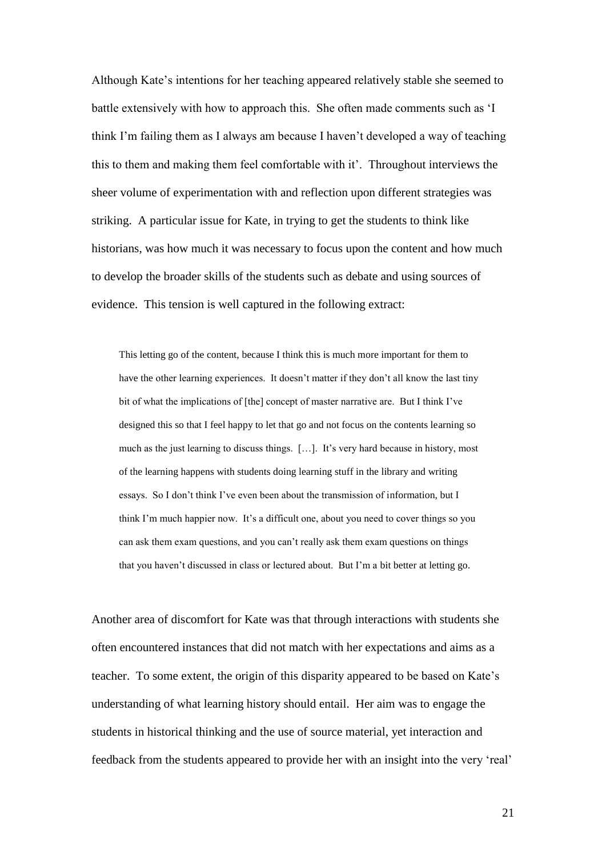Although Kate's intentions for her teaching appeared relatively stable she seemed to battle extensively with how to approach this. She often made comments such as 'I think I'm failing them as I always am because I haven't developed a way of teaching this to them and making them feel comfortable with it'. Throughout interviews the sheer volume of experimentation with and reflection upon different strategies was striking. A particular issue for Kate, in trying to get the students to think like historians, was how much it was necessary to focus upon the content and how much to develop the broader skills of the students such as debate and using sources of evidence. This tension is well captured in the following extract:

This letting go of the content, because I think this is much more important for them to have the other learning experiences. It doesn't matter if they don't all know the last tiny bit of what the implications of [the] concept of master narrative are. But I think I've designed this so that I feel happy to let that go and not focus on the contents learning so much as the just learning to discuss things. […]. It's very hard because in history, most of the learning happens with students doing learning stuff in the library and writing essays. So I don't think I've even been about the transmission of information, but I think I'm much happier now. It's a difficult one, about you need to cover things so you can ask them exam questions, and you can't really ask them exam questions on things that you haven't discussed in class or lectured about. But I'm a bit better at letting go.

Another area of discomfort for Kate was that through interactions with students she often encountered instances that did not match with her expectations and aims as a teacher. To some extent, the origin of this disparity appeared to be based on Kate's understanding of what learning history should entail. Her aim was to engage the students in historical thinking and the use of source material, yet interaction and feedback from the students appeared to provide her with an insight into the very 'real'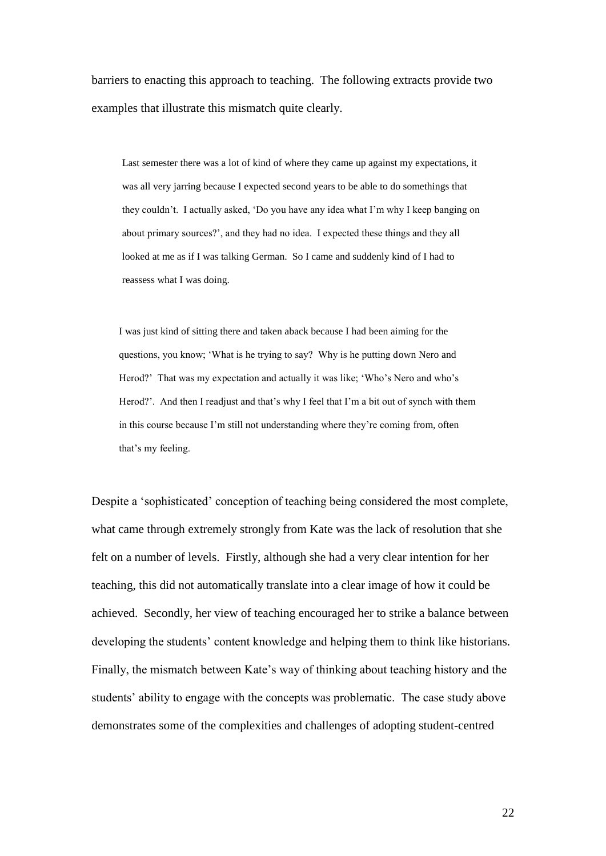barriers to enacting this approach to teaching. The following extracts provide two examples that illustrate this mismatch quite clearly.

Last semester there was a lot of kind of where they came up against my expectations, it was all very jarring because I expected second years to be able to do somethings that they couldn't. I actually asked, 'Do you have any idea what I'm why I keep banging on about primary sources?', and they had no idea. I expected these things and they all looked at me as if I was talking German. So I came and suddenly kind of I had to reassess what I was doing.

I was just kind of sitting there and taken aback because I had been aiming for the questions, you know; 'What is he trying to say? Why is he putting down Nero and Herod?' That was my expectation and actually it was like; 'Who's Nero and who's Herod?'. And then I readjust and that's why I feel that I'm a bit out of synch with them in this course because I'm still not understanding where they're coming from, often that's my feeling.

Despite a 'sophisticated' conception of teaching being considered the most complete, what came through extremely strongly from Kate was the lack of resolution that she felt on a number of levels. Firstly, although she had a very clear intention for her teaching, this did not automatically translate into a clear image of how it could be achieved. Secondly, her view of teaching encouraged her to strike a balance between developing the students' content knowledge and helping them to think like historians. Finally, the mismatch between Kate's way of thinking about teaching history and the students' ability to engage with the concepts was problematic. The case study above demonstrates some of the complexities and challenges of adopting student-centred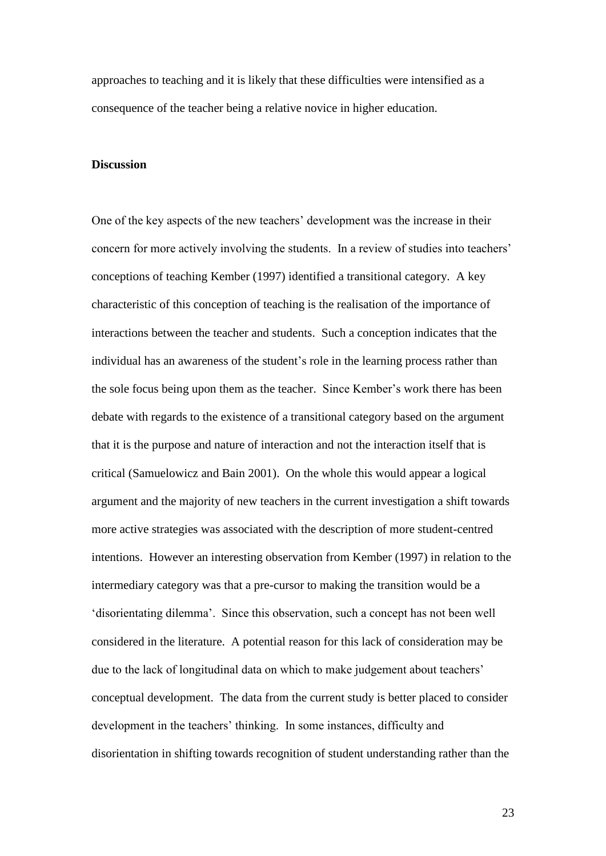approaches to teaching and it is likely that these difficulties were intensified as a consequence of the teacher being a relative novice in higher education.

# **Discussion**

One of the key aspects of the new teachers' development was the increase in their concern for more actively involving the students. In a review of studies into teachers' conceptions of teaching Kember (1997) identified a transitional category. A key characteristic of this conception of teaching is the realisation of the importance of interactions between the teacher and students. Such a conception indicates that the individual has an awareness of the student's role in the learning process rather than the sole focus being upon them as the teacher. Since Kember's work there has been debate with regards to the existence of a transitional category based on the argument that it is the purpose and nature of interaction and not the interaction itself that is critical (Samuelowicz and Bain 2001). On the whole this would appear a logical argument and the majority of new teachers in the current investigation a shift towards more active strategies was associated with the description of more student-centred intentions. However an interesting observation from Kember (1997) in relation to the intermediary category was that a pre-cursor to making the transition would be a 'disorientating dilemma'. Since this observation, such a concept has not been well considered in the literature. A potential reason for this lack of consideration may be due to the lack of longitudinal data on which to make judgement about teachers' conceptual development. The data from the current study is better placed to consider development in the teachers' thinking. In some instances, difficulty and disorientation in shifting towards recognition of student understanding rather than the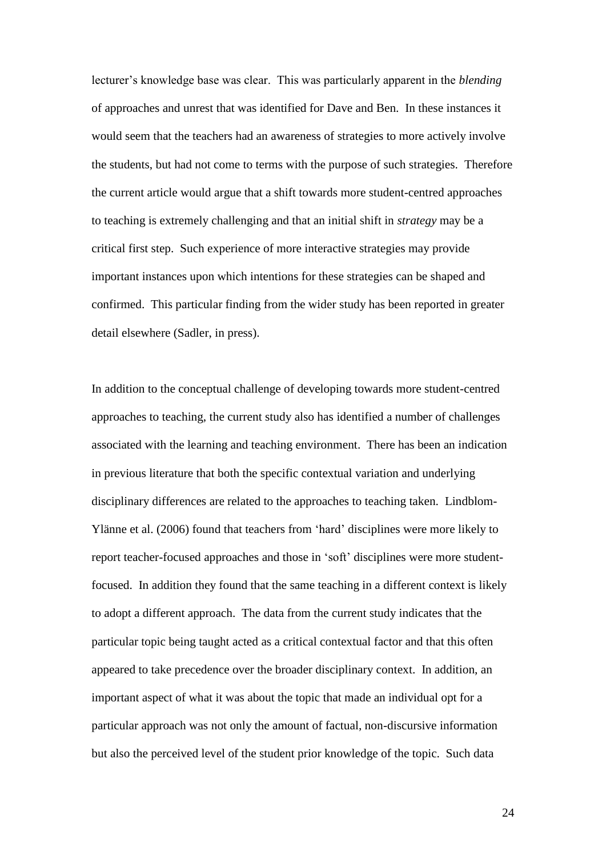lecturer's knowledge base was clear. This was particularly apparent in the *blending* of approaches and unrest that was identified for Dave and Ben. In these instances it would seem that the teachers had an awareness of strategies to more actively involve the students, but had not come to terms with the purpose of such strategies. Therefore the current article would argue that a shift towards more student-centred approaches to teaching is extremely challenging and that an initial shift in *strategy* may be a critical first step. Such experience of more interactive strategies may provide important instances upon which intentions for these strategies can be shaped and confirmed. This particular finding from the wider study has been reported in greater detail elsewhere (Sadler, in press).

In addition to the conceptual challenge of developing towards more student-centred approaches to teaching, the current study also has identified a number of challenges associated with the learning and teaching environment. There has been an indication in previous literature that both the specific contextual variation and underlying disciplinary differences are related to the approaches to teaching taken. Lindblom-Ylänne et al. (2006) found that teachers from 'hard' disciplines were more likely to report teacher-focused approaches and those in 'soft' disciplines were more studentfocused. In addition they found that the same teaching in a different context is likely to adopt a different approach. The data from the current study indicates that the particular topic being taught acted as a critical contextual factor and that this often appeared to take precedence over the broader disciplinary context. In addition, an important aspect of what it was about the topic that made an individual opt for a particular approach was not only the amount of factual, non-discursive information but also the perceived level of the student prior knowledge of the topic. Such data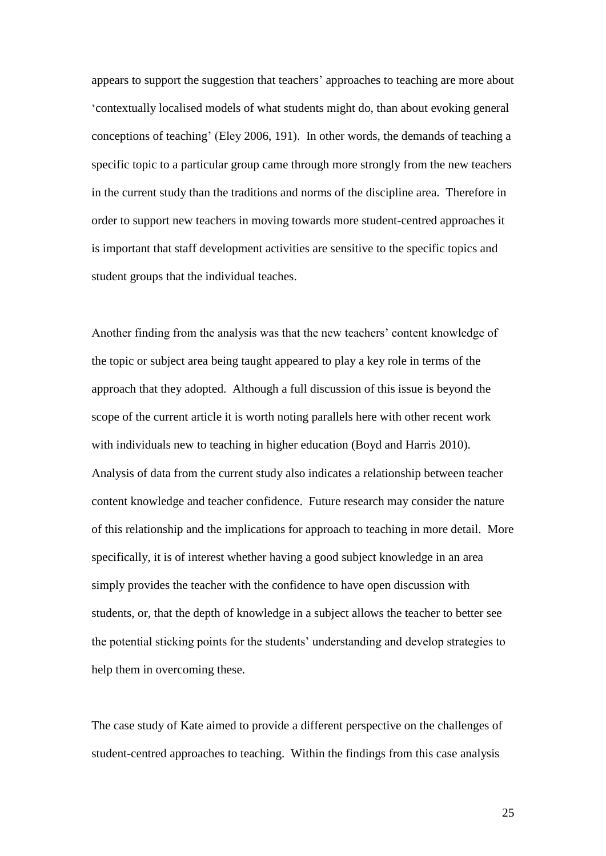appears to support the suggestion that teachers' approaches to teaching are more about 'contextually localised models of what students might do, than about evoking general conceptions of teaching' (Eley 2006, 191). In other words, the demands of teaching a specific topic to a particular group came through more strongly from the new teachers in the current study than the traditions and norms of the discipline area. Therefore in order to support new teachers in moving towards more student-centred approaches it is important that staff development activities are sensitive to the specific topics and student groups that the individual teaches.

Another finding from the analysis was that the new teachers' content knowledge of the topic or subject area being taught appeared to play a key role in terms of the approach that they adopted. Although a full discussion of this issue is beyond the scope of the current article it is worth noting parallels here with other recent work with individuals new to teaching in higher education (Boyd and Harris 2010). Analysis of data from the current study also indicates a relationship between teacher content knowledge and teacher confidence. Future research may consider the nature of this relationship and the implications for approach to teaching in more detail. More specifically, it is of interest whether having a good subject knowledge in an area simply provides the teacher with the confidence to have open discussion with students, or, that the depth of knowledge in a subject allows the teacher to better see the potential sticking points for the students' understanding and develop strategies to help them in overcoming these.

The case study of Kate aimed to provide a different perspective on the challenges of student-centred approaches to teaching. Within the findings from this case analysis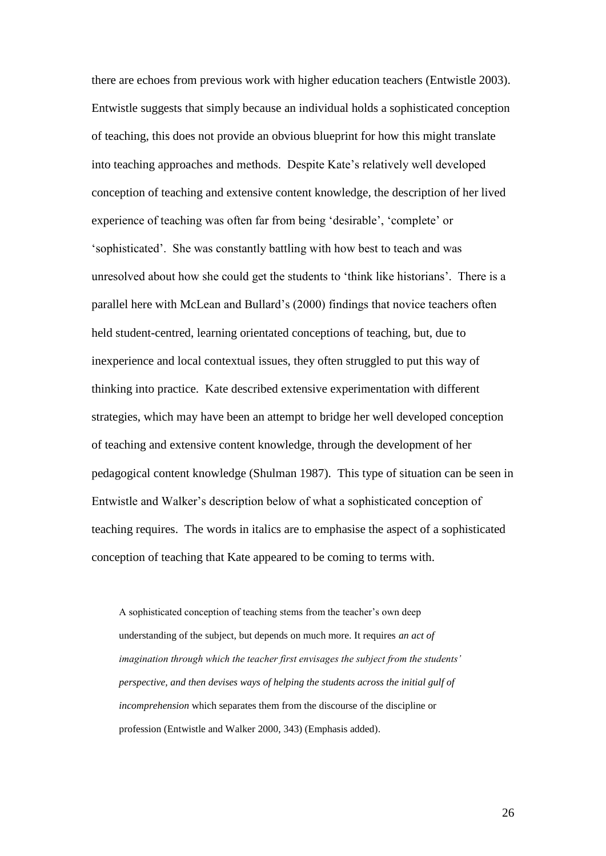there are echoes from previous work with higher education teachers (Entwistle 2003). Entwistle suggests that simply because an individual holds a sophisticated conception of teaching, this does not provide an obvious blueprint for how this might translate into teaching approaches and methods. Despite Kate's relatively well developed conception of teaching and extensive content knowledge, the description of her lived experience of teaching was often far from being 'desirable', 'complete' or 'sophisticated'. She was constantly battling with how best to teach and was unresolved about how she could get the students to 'think like historians'. There is a parallel here with McLean and Bullard's (2000) findings that novice teachers often held student-centred, learning orientated conceptions of teaching, but, due to inexperience and local contextual issues, they often struggled to put this way of thinking into practice. Kate described extensive experimentation with different strategies, which may have been an attempt to bridge her well developed conception of teaching and extensive content knowledge, through the development of her pedagogical content knowledge (Shulman 1987). This type of situation can be seen in Entwistle and Walker's description below of what a sophisticated conception of teaching requires. The words in italics are to emphasise the aspect of a sophisticated conception of teaching that Kate appeared to be coming to terms with.

A sophisticated conception of teaching stems from the teacher's own deep understanding of the subject, but depends on much more. It requires *an act of imagination through which the teacher first envisages the subject from the students' perspective, and then devises ways of helping the students across the initial gulf of incomprehension* which separates them from the discourse of the discipline or profession (Entwistle and Walker 2000, 343) (Emphasis added).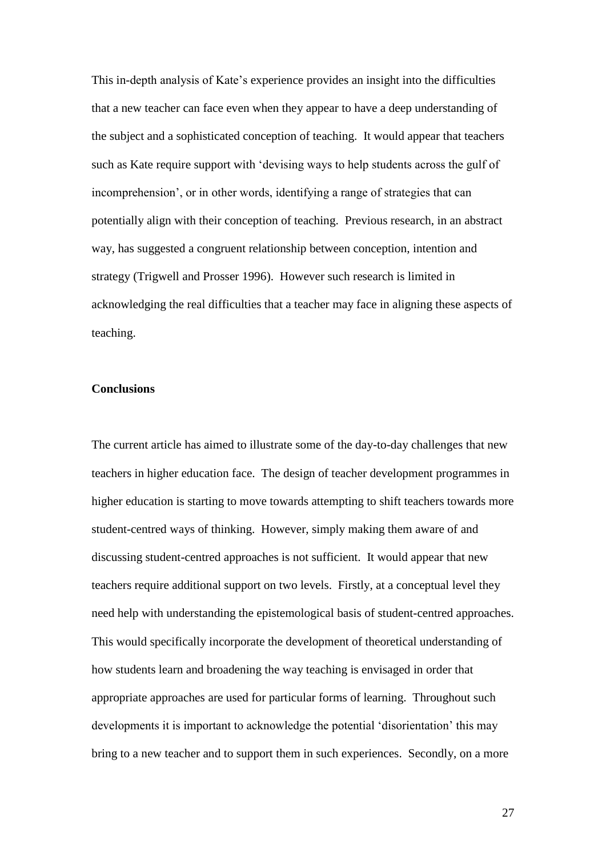This in-depth analysis of Kate's experience provides an insight into the difficulties that a new teacher can face even when they appear to have a deep understanding of the subject and a sophisticated conception of teaching. It would appear that teachers such as Kate require support with 'devising ways to help students across the gulf of incomprehension', or in other words, identifying a range of strategies that can potentially align with their conception of teaching. Previous research, in an abstract way, has suggested a congruent relationship between conception, intention and strategy (Trigwell and Prosser 1996). However such research is limited in acknowledging the real difficulties that a teacher may face in aligning these aspects of teaching.

# **Conclusions**

The current article has aimed to illustrate some of the day-to-day challenges that new teachers in higher education face. The design of teacher development programmes in higher education is starting to move towards attempting to shift teachers towards more student-centred ways of thinking. However, simply making them aware of and discussing student-centred approaches is not sufficient. It would appear that new teachers require additional support on two levels. Firstly, at a conceptual level they need help with understanding the epistemological basis of student-centred approaches. This would specifically incorporate the development of theoretical understanding of how students learn and broadening the way teaching is envisaged in order that appropriate approaches are used for particular forms of learning. Throughout such developments it is important to acknowledge the potential 'disorientation' this may bring to a new teacher and to support them in such experiences. Secondly, on a more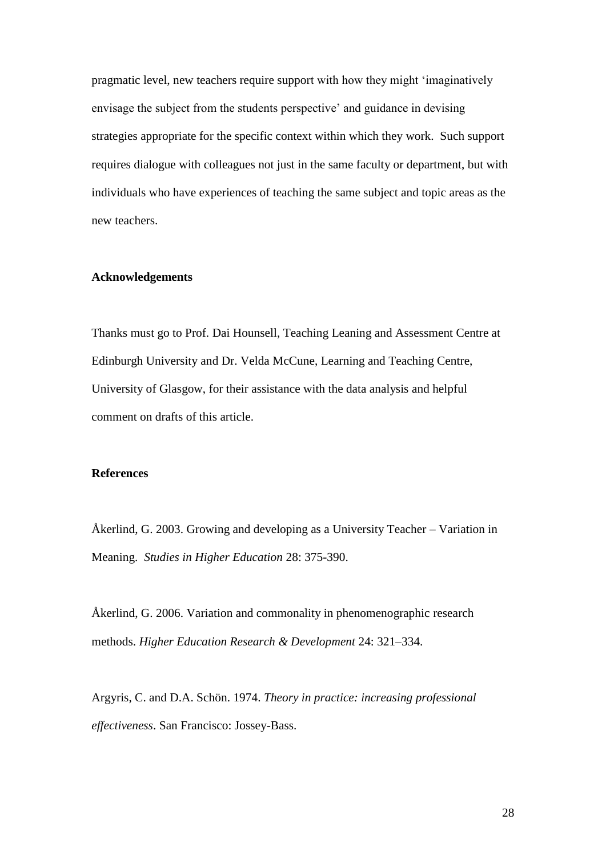pragmatic level, new teachers require support with how they might 'imaginatively envisage the subject from the students perspective' and guidance in devising strategies appropriate for the specific context within which they work. Such support requires dialogue with colleagues not just in the same faculty or department, but with individuals who have experiences of teaching the same subject and topic areas as the new teachers.

## **Acknowledgements**

Thanks must go to Prof. Dai Hounsell, Teaching Leaning and Assessment Centre at Edinburgh University and Dr. Velda McCune, Learning and Teaching Centre, University of Glasgow, for their assistance with the data analysis and helpful comment on drafts of this article.

# **References**

Åkerlind, G. 2003. Growing and developing as a University Teacher – Variation in Meaning. *Studies in Higher Education* 28: 375-390.

Åkerlind, G. 2006. Variation and commonality in phenomenographic research methods. *Higher Education Research & Development* 24: 321–334.

Argyris, C. and D.A. Schön. 1974. *Theory in practice: increasing professional effectiveness*. San Francisco: Jossey-Bass.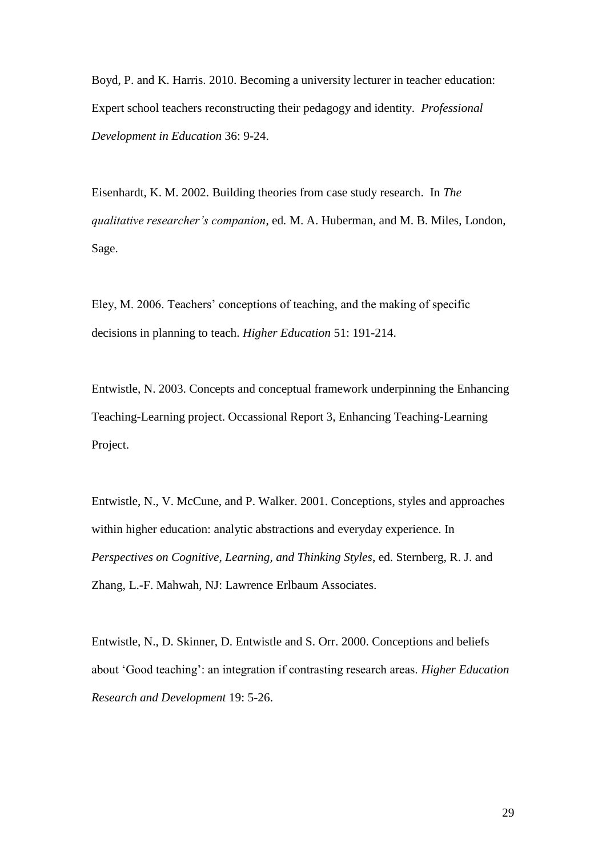Boyd, P. and K. Harris. 2010. Becoming a university lecturer in teacher education: Expert school teachers reconstructing their pedagogy and identity. *Professional Development in Education* 36: 9-24.

Eisenhardt, K. M. 2002. Building theories from case study research. In *The qualitative researcher's companion*, ed*.* M. A. Huberman, and M. B. Miles, London, Sage.

Eley, M. 2006. Teachers' conceptions of teaching, and the making of specific decisions in planning to teach. *Higher Education* 51: 191-214.

Entwistle, N. 2003. Concepts and conceptual framework underpinning the Enhancing Teaching-Learning project. Occassional Report 3, Enhancing Teaching-Learning Project.

Entwistle, N., V. McCune, and P. Walker. 2001. Conceptions, styles and approaches within higher education: analytic abstractions and everyday experience. In *Perspectives on Cognitive, Learning, and Thinking Styles*, ed. Sternberg, R. J. and Zhang, L.-F. Mahwah, NJ: Lawrence Erlbaum Associates.

Entwistle, N., D. Skinner, D. Entwistle and S. Orr. 2000. Conceptions and beliefs about 'Good teaching': an integration if contrasting research areas. *Higher Education Research and Development* 19: 5-26.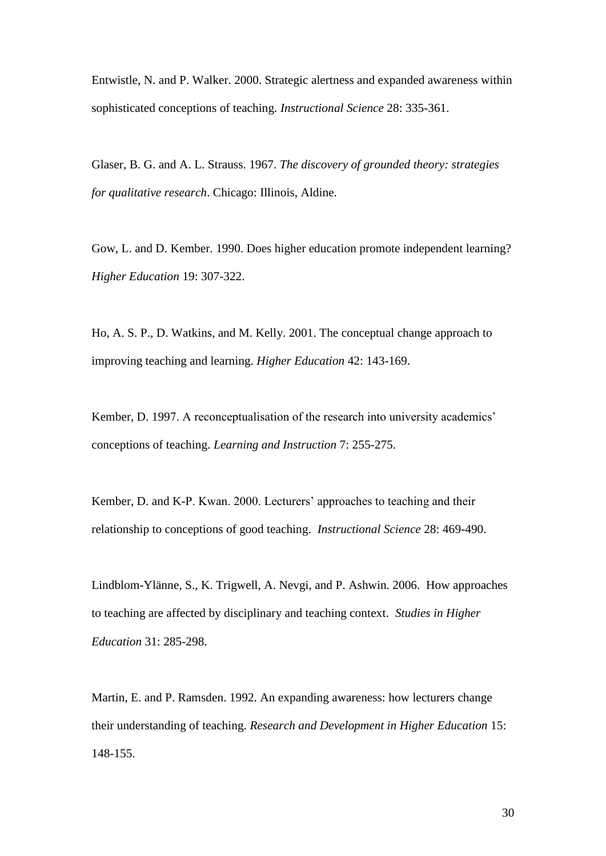Entwistle, N. and P. Walker. 2000. Strategic alertness and expanded awareness within sophisticated conceptions of teaching. *Instructional Science* 28: 335-361.

Glaser, B. G. and A. L. Strauss. 1967. *The discovery of grounded theory: strategies for qualitative research*. Chicago: Illinois, Aldine.

Gow, L. and D. Kember. 1990. Does higher education promote independent learning? *Higher Education* 19: 307-322.

Ho, A. S. P., D. Watkins, and M. Kelly. 2001. The conceptual change approach to improving teaching and learning. *Higher Education* 42: 143-169.

Kember, D. 1997. A reconceptualisation of the research into university academics' conceptions of teaching. *Learning and Instruction* 7: 255-275.

Kember, D. and K-P. Kwan. 2000. Lecturers' approaches to teaching and their relationship to conceptions of good teaching. *Instructional Science* 28: 469-490.

Lindblom-Ylänne, S., K. Trigwell, A. Nevgi, and P. Ashwin. 2006. How approaches to teaching are affected by disciplinary and teaching context. *Studies in Higher Education* 31: 285-298.

Martin, E. and P. Ramsden. 1992. An expanding awareness: how lecturers change their understanding of teaching. *Research and Development in Higher Education* 15: 148-155.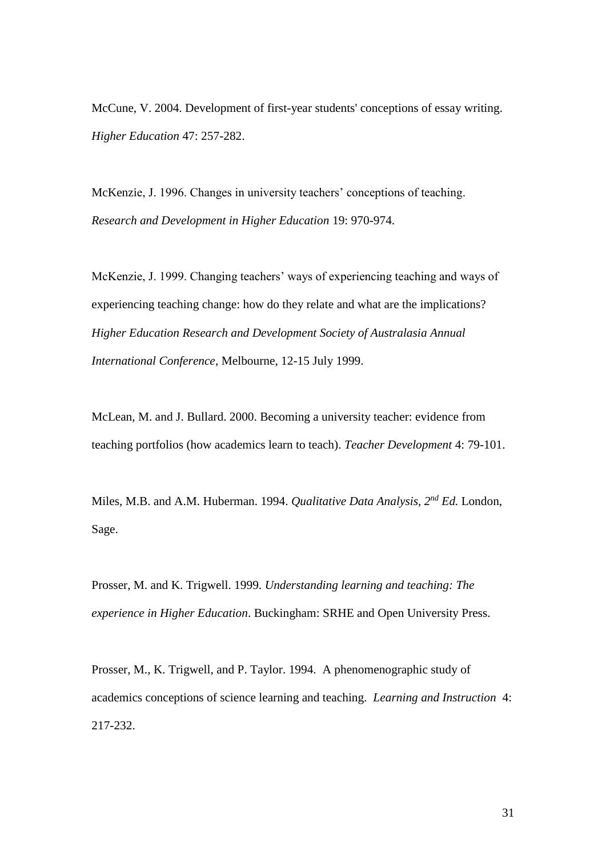McCune, V. 2004. Development of first-year students' conceptions of essay writing. *Higher Education* 47: 257-282.

McKenzie, J. 1996. Changes in university teachers' conceptions of teaching. *Research and Development in Higher Education* 19: 970-974.

McKenzie, J. 1999. Changing teachers' ways of experiencing teaching and ways of experiencing teaching change: how do they relate and what are the implications? *Higher Education Research and Development Society of Australasia Annual International Conference*, Melbourne, 12-15 July 1999.

McLean, M. and J. Bullard. 2000. Becoming a university teacher: evidence from teaching portfolios (how academics learn to teach). *Teacher Development* 4: 79-101.

Miles, M.B. and A.M. Huberman. 1994. *Qualitative Data Analysis*, 2<sup>nd</sup> Ed. London, Sage.

Prosser, M. and K. Trigwell. 1999. *Understanding learning and teaching: The experience in Higher Education*. Buckingham: SRHE and Open University Press.

Prosser, M., K. Trigwell, and P. Taylor. 1994. A phenomenographic study of academics conceptions of science learning and teaching. *Learning and Instruction* 4: 217-232.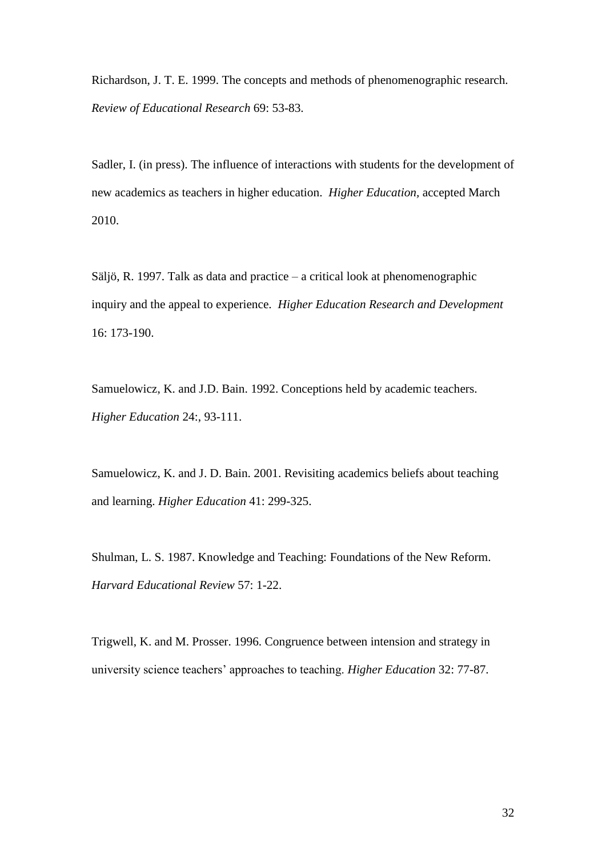Richardson, J. T. E. 1999. The concepts and methods of phenomenographic research. *Review of Educational Research* 69: 53-83.

Sadler, I. (in press). The influence of interactions with students for the development of new academics as teachers in higher education. *Higher Education,* accepted March 2010.

Säljö, R. 1997. Talk as data and practice – a critical look at phenomenographic inquiry and the appeal to experience. *Higher Education Research and Development* 16: 173-190.

Samuelowicz, K. and J.D. Bain. 1992. Conceptions held by academic teachers. *Higher Education* 24:, 93-111.

Samuelowicz, K. and J. D. Bain. 2001. Revisiting academics beliefs about teaching and learning. *Higher Education* 41: 299-325.

Shulman, L. S. 1987. Knowledge and Teaching: Foundations of the New Reform. *Harvard Educational Review* 57: 1-22.

Trigwell, K. and M. Prosser. 1996. Congruence between intension and strategy in university science teachers' approaches to teaching. *Higher Education* 32: 77-87.